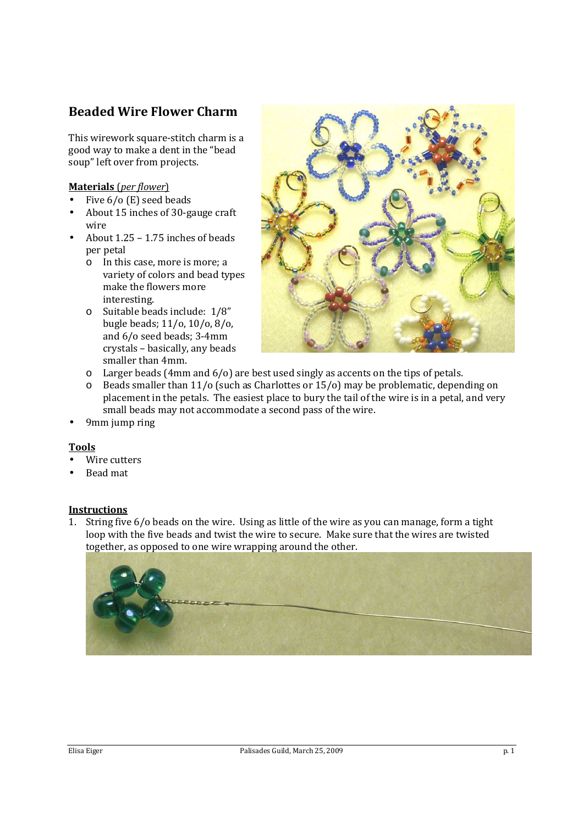## **Beaded Wire Flower Charm**

This wirework square-stitch charm is a good way to make a dent in the "bead soup" left over from projects.

## **Materials** (*per flower*)

- Five 6/o (E) seed beads
- About 15 inches of 30-gauge craft wire
- About 1.25 1.75 inches of beads per petal
	- o In this case, more is more; a variety of colors and bead types make the flowers more interesting.
	- o Suitable beads include: 1/8" bugle beads; 11/o, 10/o, 8/o, and 6/o seed beads; 3-4mm crystals – basically, any beads smaller than 4mm.



- $\circ$  Larger beads (4mm and 6/o) are best used singly as accents on the tips of petals.
- o Beads smaller than 11/o (such as Charlottes or 15/o) may be problematic, depending on placement in the petals. The easiest place to bury the tail of the wire is in a petal, and very small beads may not accommodate a second pass of the wire.
- 9mm jump ring

## **Tools**

- Wire cutters
- Bead mat

## **Instructions**

1. String five 6/o beads on the wire. Using as little of the wire as you can manage, form a tight loop with the five beads and twist the wire to secure. Make sure that the wires are twisted together, as opposed to one wire wrapping around the other.

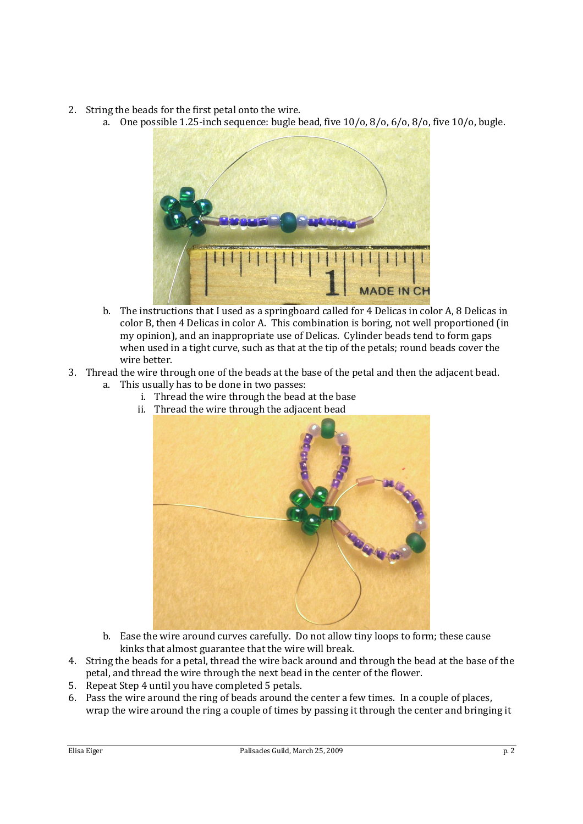- 2. String the beads for the first petal onto the wire.
	- a. One possible 1.25-inch sequence: bugle bead, five 10/o, 8/o, 6/o, 8/o, five 10/o, bugle.



- b. The instructions that I used as a springboard called for 4 Delicas in color A, 8 Delicas in color B, then 4 Delicas in color A. This combination is boring, not well proportioned (in my opinion), and an inappropriate use of Delicas. Cylinder beads tend to form gaps when used in a tight curve, such as that at the tip of the petals; round beads cover the wire better.
- 3. Thread the wire through one of the beads at the base of the petal and then the adjacent bead.
	- a. This usually has to be done in two passes:
		- i. Thread the wire through the bead at the base
		- ii. Thread the wire through the adjacent bead



- b. Ease the wire around curves carefully. Do not allow tiny loops to form; these cause kinks that almost guarantee that the wire will break.
- 4. String the beads for a petal, thread the wire back around and through the bead at the base of the petal, and thread the wire through the next bead in the center of the flower.
- 5. Repeat Step 4 until you have completed 5 petals.
- 6. Pass the wire around the ring of beads around the center a few times. In a couple of places, wrap the wire around the ring a couple of times by passing it through the center and bringing it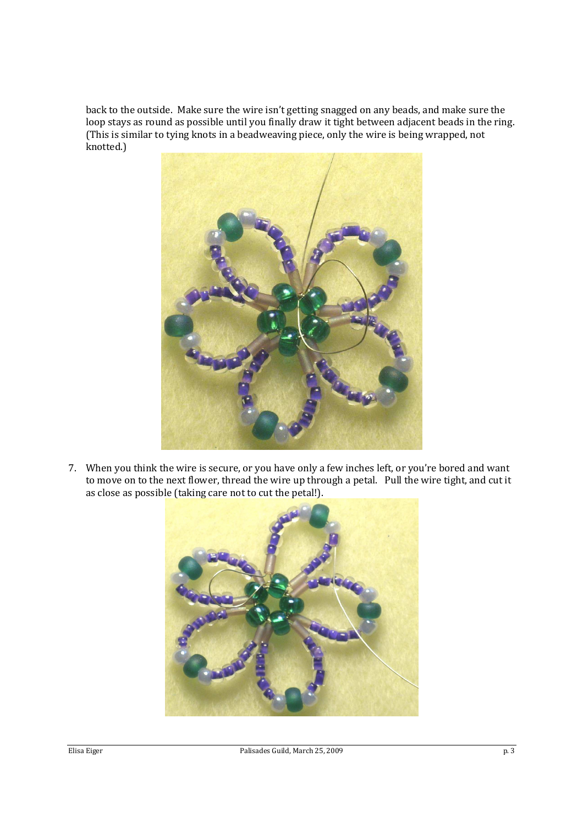back to the outside. Make sure the wire isn't getting snagged on any beads, and make sure the loop stays as round as possible until you finally draw it tight between adjacent beads in the ring. (This is similar to tying knots in a beadweaving piece, only the wire is being wrapped, not knotted.)



7. When you think the wire is secure, or you have only a few inches left, or you're bored and want to move on to the next flower, thread the wire up through a petal. Pull the wire tight, and cut it as close as possible (taking care not to cut the petal!).